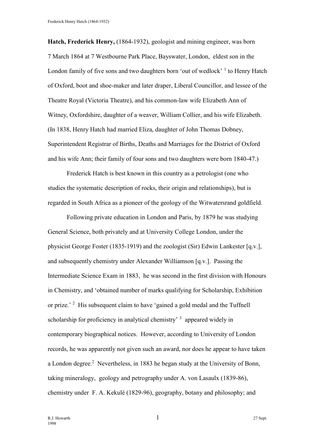**Hatch, Frederick Henry,** (1864-1932), geologist and mining engineer, was born 7 March 1864 at 7 Westbourne Park Place, Bayswater, London, eldest son in the London family of five sons and two daughters born 'out of wedlock' <sup>1</sup> to Henry Hatch of Oxford, boot and shoe-maker and later draper, Liberal Councillor, and lessee of the Theatre Royal (Victoria Theatre), and his common-law wife Elizabeth Ann of Witney, Oxfordshire, daughter of a weaver, William Collier, and his wife Elizabeth. (In 1838, Henry Hatch had married Eliza, daughter of John Thomas Dobney, Superintendent Registrar of Births, Deaths and Marriages for the District of Oxford and his wife Ann; their family of four sons and two daughters were born 1840-47.)

Frederick Hatch is best known in this country as a petrologist (one who studies the systematic description of rocks, their origin and relationships), but is regarded in South Africa as a pioneer of the geology of the Witwatersrand goldfield.

Following private education in London and Paris, by 1879 he was studying General Science, both privately and at University College London, under the physicist George Foster (1835-1919) and the zoologist (Sir) Edwin Lankester [q.v.], and subsequently chemistry under Alexander Williamson [q.v.]. Passing the Intermediate Science Exam in 1883, he was second in the first division with Honours in Chemistry, and 'obtained number of marks qualifying for Scholarship, Exhibition or prize.<sup>2</sup> His subsequent claim to have 'gained a gold medal and the Tuffnell scholarship for proficiency in analytical chemistry'  $3$  appeared widely in contemporary biographical notices. However, according to University of London records, he was apparently not given such an award, nor does he appear to have taken a London degree.<sup>2</sup> Nevertheless, in 1883 he began study at the University of Bonn, taking mineralogy, geology and petrography under A. von Lasaulx (1839-86), chemistry under F. A. Kekulé (1829-96), geography, botany and philosophy; and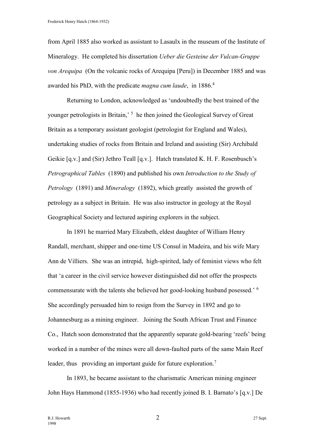from April 1885 also worked as assistant to Lasaulx in the museum of the Institute of Mineralogy. He completed his dissertation *Ueber die Gesteine der Vulcan-Gruppe von Arequipa* (On the volcanic rocks of Arequipa [Peru]) in December 1885 and was awarded his PhD, with the predicate *magna cum laude*, in 1886.<sup>4</sup>

Returning to London, acknowledged as 'undoubtedly the best trained of the younger petrologists in Britain,<sup>5</sup> he then joined the Geological Survey of Great Britain as a temporary assistant geologist (petrologist for England and Wales), undertaking studies of rocks from Britain and Ireland and assisting (Sir) Archibald Geikie [q.v.] and (Sir) Jethro Teall [q.v.]. Hatch translated K. H. F. Rosenbusch's *Petrographical Tables* (1890) and published his own *Introduction to the Study of Petrology* (1891) and *Mineralogy* (1892), which greatly assisted the growth of petrology as a subject in Britain. He was also instructor in geology at the Royal Geographical Society and lectured aspiring explorers in the subject.

In 1891 he married Mary Elizabeth, eldest daughter of William Henry Randall, merchant, shipper and one-time US Consul in Madeira, and his wife Mary Ann de Villiers. She was an intrepid, high-spirited, lady of feminist views who felt that 'a career in the civil service however distinguished did not offer the prospects commensurate with the talents she believed her good-looking husband posessed.' <sup>6</sup> She accordingly persuaded him to resign from the Survey in 1892 and go to Johannesburg as a mining engineer. Joining the South African Trust and Finance Co., Hatch soon demonstrated that the apparently separate gold-bearing 'reefs' being worked in a number of the mines were all down-faulted parts of the same Main Reef leader, thus providing an important guide for future exploration.<sup>7</sup>

In 1893, he became assistant to the charismatic American mining engineer John Hays Hammond (1855-1936) who had recently joined B. I. Barnato's [q.v.] De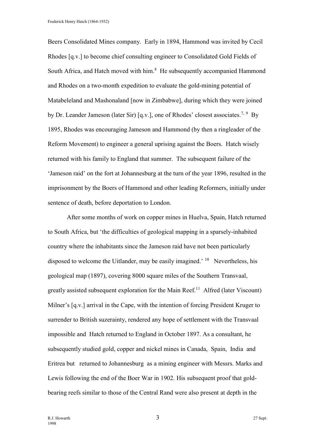Frederick Henry Hatch (1864-1932)

Beers Consolidated Mines company. Early in 1894, Hammond was invited by Cecil Rhodes [q.v.] to become chief consulting engineer to Consolidated Gold Fields of South Africa, and Hatch moved with him.<sup>8</sup> He subsequently accompanied Hammond and Rhodes on a two-month expedition to evaluate the gold-mining potential of Matabeleland and Mashonaland [now in Zimbabwe], during which they were joined by Dr. Leander Jameson (later Sir) [q.v.], one of Rhodes' closest associates.<sup>7, 9</sup> By 1895, Rhodes was encouraging Jameson and Hammond (by then a ringleader of the Reform Movement) to engineer a general uprising against the Boers. Hatch wisely returned with his family to England that summer. The subsequent failure of the 'Jameson raid' on the fort at Johannesburg at the turn of the year 1896, resulted in the imprisonment by the Boers of Hammond and other leading Reformers, initially under sentence of death, before deportation to London.

After some months of work on copper mines in Huelva, Spain, Hatch returned to South Africa, but 'the difficulties of geological mapping in a sparsely-inhabited country where the inhabitants since the Jameson raid have not been particularly disposed to welcome the Uitlander, may be easily imagined.<sup>' 10</sup> Nevertheless, his geological map (1897), covering 8000 square miles of the Southern Transvaal, greatly assisted subsequent exploration for the Main Reef.<sup>11</sup> Alfred (later Viscount) Milner's [q.v.] arrival in the Cape, with the intention of forcing President Kruger to surrender to British suzerainty, rendered any hope of settlement with the Transvaal impossible and Hatch returned to England in October 1897. As a consultant, he subsequently studied gold, copper and nickel mines in Canada, Spain, India and Eritrea but returned to Johannesburg as a mining engineer with Messrs. Marks and Lewis following the end of the Boer War in 1902. His subsequent proof that goldbearing reefs similar to those of the Central Rand were also present at depth in the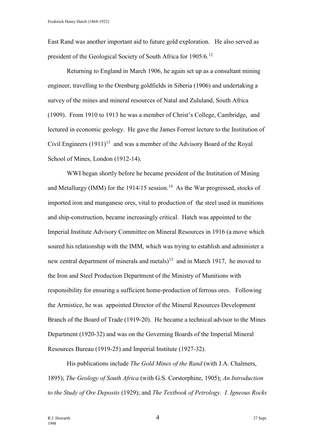East Rand was another important aid to future gold exploration. He also served as president of the Geological Society of South Africa for 1905/6.<sup>12</sup>

Returning to England in March 1906, he again set up as a consultant mining engineer, travelling to the Orenburg goldfields in Siberia (1906) and undertaking a survey of the mines and mineral resources of Natal and Zululand, South Africa (1909). From 1910 to 1913 he was a member of Christ's College, Cambridge, and lectured in economic geology. He gave the James Forrest lecture to the Institution of Civil Engineers  $(1911)^{13}$  and was a member of the Advisory Board of the Royal School of Mines, London (1912-14).

WWI began shortly before he became president of the Institution of Mining and Metallurgy (IMM) for the 1914/15 session.<sup>14</sup> As the War progressed, stocks of imported iron and manganese ores, vital to production of the steel used in munitions and ship-construction, became increasingly critical. Hatch was appointed to the Imperial Institute Advisory Committee on Mineral Resources in 1916 (a move which soured his relationship with the IMM, which was trying to establish and administer a new central department of minerals and metals)<sup>15</sup> and in March 1917, he moved to the Iron and Steel Production Department of the Ministry of Munitions with responsibility for ensuring a sufficient home-production of ferrous ores. Following the Armistice, he was appointed Director of the Mineral Resources Development Branch of the Board of Trade (1919-20). He became a technical advisor to the Mines Department (1920-32) and was on the Governing Boards of the Imperial Mineral Resources Bureau (1919-25) and Imperial Institute (1927-32).

His publications include *The Gold Mines of the Rand* (with J.A. Chalmers, 1895); *The Geology of South Africa* (with G.S. Corstorphine, 1905); *An Introduction to the Study of Ore Deposits* (1929); and *The Textbook of Petrology. I. Igneous Rocks*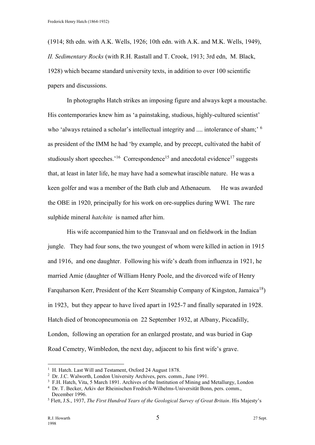(1914; 8th edn. with A.K. Wells, 1926; 10th edn. with A.K. and M.K. Wells, 1949), *II. Sedimentary Rocks* (with R.H. Rastall and T. Crook, 1913; 3rd edn, M. Black, 1928) which became standard university texts, in addition to over 100 scientific papers and discussions.

In photographs Hatch strikes an imposing figure and always kept a moustache. His contemporaries knew him as 'a painstaking, studious, highly-cultured scientist' who 'always retained a scholar's intellectual integrity and .... intolerance of sham; <sup>6</sup> as president of the IMM he had 'by example, and by precept, cultivated the habit of studiously short speeches.<sup>16</sup> Correspondence<sup>15</sup> and anecdotal evidence<sup>17</sup> suggests that, at least in later life, he may have had a somewhat irascible nature. He was a keen golfer and was a member of the Bath club and Athenaeum. He was awarded the OBE in 1920, principally for his work on ore-supplies during WWI. The rare sulphide mineral *hatchite* is named after him.

His wife accompanied him to the Transvaal and on fieldwork in the Indian jungle. They had four sons, the two youngest of whom were killed in action in 1915 and 1916, and one daughter. Following his wife's death from influenza in 1921, he married Amie (daughter of William Henry Poole, and the divorced wife of Henry Farquharson Kerr, President of the Kerr Steamship Company of Kingston, Jamaica<sup>18</sup>) in 1923, but they appear to have lived apart in 1925-7 and finally separated in 1928. Hatch died of broncopneumonia on 22 September 1932, at Albany, Piccadilly, London, following an operation for an enlarged prostate, and was buried in Gap Road Cemetry, Wimbledon, the next day, adjacent to his first wife's grave.

 $\overline{a}$ 

<sup>&</sup>lt;sup>1</sup> H. Hatch. Last Will and Testament, Oxford 24 August 1878.

<sup>&</sup>lt;sup>2</sup> Dr. J.C. Walworth, London University Archives, pers. comm., June 1991.

<sup>&</sup>lt;sup>3</sup> F.H. Hatch, Vita, 5 March 1891. Archives of the Institution of Mining and Metallurgy, London

<sup>4</sup> Dr. T. Becker, Arkiv der Rheinischen Fredrich-Wilhelms-Universität Bonn, pers. comm., December 1996.

<sup>5</sup> Flett, J.S., 1937, *The First Hundred Years of the Geological Survey of Great Britain*. His Majesty's